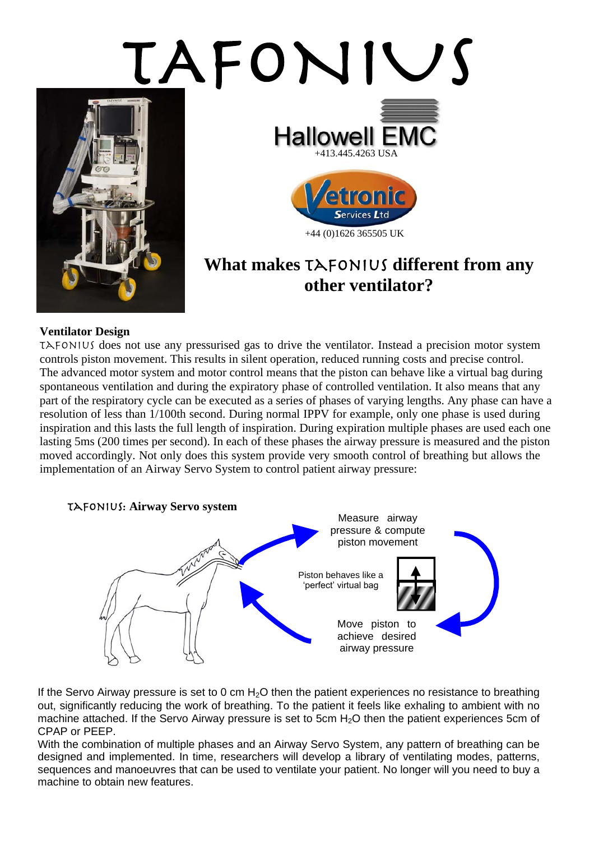# TAFONIUS







# **What makes Tafonius different from any other ventilator?**

# **Ventilator Design**

tafonius does not use any pressurised gas to drive the ventilator. Instead a precision motor system controls piston movement. This results in silent operation, reduced running costs and precise control. The advanced motor system and motor control means that the piston can behave like a virtual bag during spontaneous ventilation and during the expiratory phase of controlled ventilation. It also means that any part of the respiratory cycle can be executed as a series of phases of varying lengths. Any phase can have a resolution of less than 1/100th second. During normal IPPV for example, only one phase is used during inspiration and this lasts the full length of inspiration. During expiration multiple phases are used each one lasting 5ms (200 times per second). In each of these phases the airway pressure is measured and the piston moved accordingly. Not only does this system provide very smooth control of breathing but allows the implementation of an Airway Servo System to control patient airway pressure:



If the Servo Airway pressure is set to 0 cm  $H_2O$  then the patient experiences no resistance to breathing out, significantly reducing the work of breathing. To the patient it feels like exhaling to ambient with no machine attached. If the Servo Airway pressure is set to 5cm H<sub>2</sub>O then the patient experiences 5cm of CPAP or PEEP.

With the combination of multiple phases and an Airway Servo System, any pattern of breathing can be designed and implemented. In time, researchers will develop a library of ventilating modes, patterns, sequences and manoeuvres that can be used to ventilate your patient. No longer will you need to buy a machine to obtain new features.